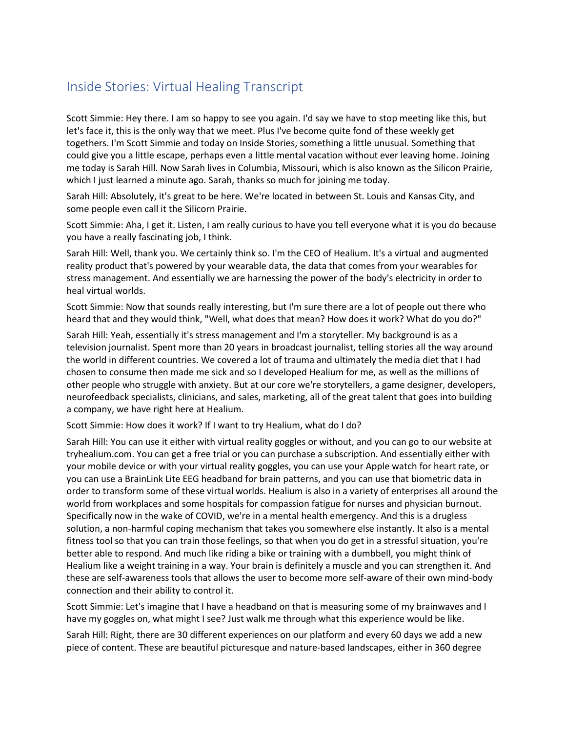## Inside Stories: Virtual Healing Transcript

 let's face it, this is the only way that we meet. Plus I've become quite fond of these weekly get Scott Simmie: Hey there. I am so happy to see you again. I'd say we have to stop meeting like this, but togethers. I'm Scott Simmie and today on Inside Stories, something a little unusual. Something that could give you a little escape, perhaps even a little mental vacation without ever leaving home. Joining me today is Sarah Hill. Now Sarah lives in Columbia, Missouri, which is also known as the Silicon Prairie, which I just learned a minute ago. Sarah, thanks so much for joining me today.

Sarah Hill: Absolutely, it's great to be here. We're located in between St. Louis and Kansas City, and some people even call it the Silicorn Prairie.

 Scott Simmie: Aha, I get it. Listen, I am really curious to have you tell everyone what it is you do because you have a really fascinating job, I think.

Sarah Hill: Well, thank you. We certainly think so. I'm the CEO of Healium. It's a virtual and augmented reality product that's powered by your wearable data, the data that comes from your wearables for stress management. And essentially we are harnessing the power of the body's electricity in order to heal virtual worlds.

 heard that and they would think, "Well, what does that mean? How does it work? What do you do?" Scott Simmie: Now that sounds really interesting, but I'm sure there are a lot of people out there who

 the world in different countries. We covered a lot of trauma and ultimately the media diet that I had Sarah Hill: Yeah, essentially it's stress management and I'm a storyteller. My background is as a television journalist. Spent more than 20 years in broadcast journalist, telling stories all the way around chosen to consume then made me sick and so I developed Healium for me, as well as the millions of other people who struggle with anxiety. But at our core we're storytellers, a game designer, developers, neurofeedback specialists, clinicians, and sales, marketing, all of the great talent that goes into building a company, we have right here at Healium.

Scott Simmie: How does it work? If I want to try Healium, what do I do?

 [tryhealium.com.](https://tryhealium.com) You can get a free trial or you can purchase a subscription. And essentially either with Sarah Hill: You can use it either with virtual reality goggles or without, and you can go to our website at your mobile device or with your virtual reality goggles, you can use your Apple watch for heart rate, or you can use a BrainLink Lite EEG headband for brain patterns, and you can use that biometric data in order to transform some of these virtual worlds. Healium is also in a variety of enterprises all around the world from workplaces and some hospitals for compassion fatigue for nurses and physician burnout. Specifically now in the wake of COVID, we're in a mental health emergency. And this is a drugless solution, a non-harmful coping mechanism that takes you somewhere else instantly. It also is a mental fitness tool so that you can train those feelings, so that when you do get in a stressful situation, you're better able to respond. And much like riding a bike or training with a dumbbell, you might think of Healium like a weight training in a way. Your brain is definitely a muscle and you can strengthen it. And these are self-awareness tools that allows the user to become more self-aware of their own mind-body connection and their ability to control it.

Scott Simmie: Let's imagine that I have a headband on that is measuring some of my brainwaves and I have my goggles on, what might I see? Just walk me through what this experience would be like.

Sarah Hill: Right, there are 30 different experiences on our platform and every 60 days we add a new piece of content. These are beautiful picturesque and nature-based landscapes, either in 360 degree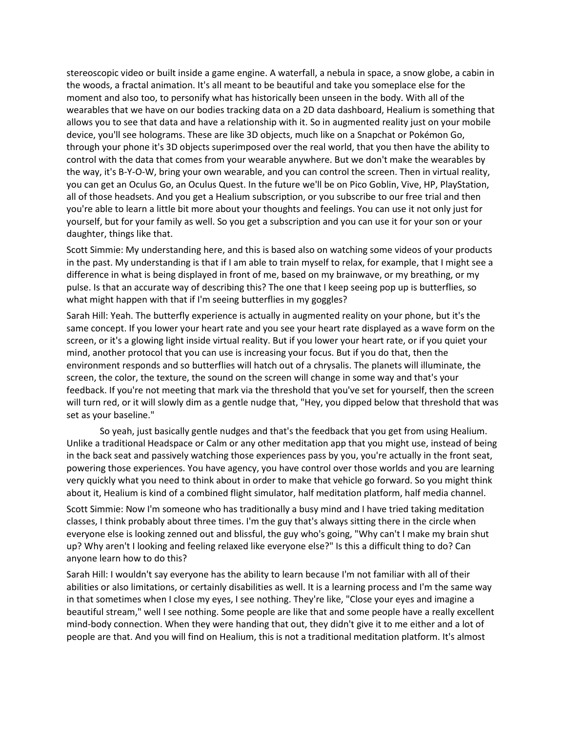allows you to see that data and have a relationship with it. So in augmented reality just on your mobile through your phone it's 3D objects superimposed over the real world, that you then have the ability to the way, it's B-Y-O-W, bring your own wearable, and you can control the screen. Then in virtual reality, yourself, but for your family as well. So you get a subscription and you can use it for your son or your stereoscopic video or built inside a game engine. A waterfall, a nebula in space, a snow globe, a cabin in the woods, a fractal animation. It's all meant to be beautiful and take you someplace else for the moment and also too, to personify what has historically been unseen in the body. With all of the wearables that we have on our bodies tracking data on a 2D data dashboard, Healium is something that device, you'll see holograms. These are like 3D objects, much like on a Snapchat or Pokémon Go, control with the data that comes from your wearable anywhere. But we don't make the wearables by you can get an Oculus Go, an Oculus Quest. In the future we'll be on Pico Goblin, Vive, HP, PlayStation, all of those headsets. And you get a Healium subscription, or you subscribe to our free trial and then you're able to learn a little bit more about your thoughts and feelings. You can use it not only just for daughter, things like that.

Scott Simmie: My understanding here, and this is based also on watching some videos of your products in the past. My understanding is that if I am able to train myself to relax, for example, that I might see a difference in what is being displayed in front of me, based on my brainwave, or my breathing, or my pulse. Is that an accurate way of describing this? The one that I keep seeing pop up is butterflies, so what might happen with that if I'm seeing butterflies in my goggles?

Sarah Hill: Yeah. The butterfly experience is actually in augmented reality on your phone, but it's the same concept. If you lower your heart rate and you see your heart rate displayed as a wave form on the screen, or it's a glowing light inside virtual reality. But if you lower your heart rate, or if you quiet your mind, another protocol that you can use is increasing your focus. But if you do that, then the environment responds and so butterflies will hatch out of a chrysalis. The planets will illuminate, the screen, the color, the texture, the sound on the screen will change in some way and that's your feedback. If you're not meeting that mark via the threshold that you've set for yourself, then the screen will turn red, or it will slowly dim as a gentle nudge that, "Hey, you dipped below that threshold that was set as your baseline."

 very quickly what you need to think about in order to make that vehicle go forward. So you might think So yeah, just basically gentle nudges and that's the feedback that you get from using Healium. Unlike a traditional Headspace or Calm or any other meditation app that you might use, instead of being in the back seat and passively watching those experiences pass by you, you're actually in the front seat, powering those experiences. You have agency, you have control over those worlds and you are learning about it, Healium is kind of a combined flight simulator, half meditation platform, half media channel.

 Scott Simmie: Now I'm someone who has traditionally a busy mind and I have tried taking meditation classes, I think probably about three times. I'm the guy that's always sitting there in the circle when everyone else is looking zenned out and blissful, the guy who's going, "Why can't I make my brain shut up? Why aren't I looking and feeling relaxed like everyone else?" Is this a difficult thing to do? Can anyone learn how to do this?

Sarah Hill: I wouldn't say everyone has the ability to learn because I'm not familiar with all of their abilities or also limitations, or certainly disabilities as well. It is a learning process and I'm the same way in that sometimes when I close my eyes, I see nothing. They're like, "Close your eyes and imagine a beautiful stream," well I see nothing. Some people are like that and some people have a really excellent mind-body connection. When they were handing that out, they didn't give it to me either and a lot of people are that. And you will find on Healium, this is not a traditional meditation platform. It's almost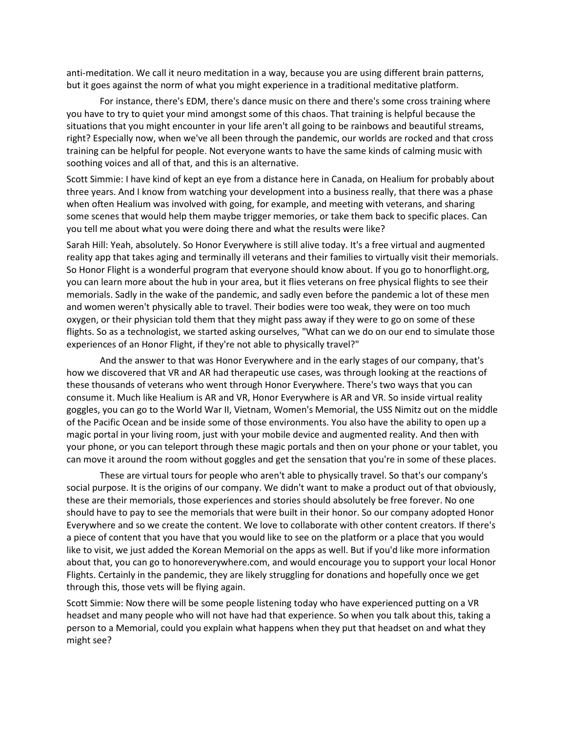anti-meditation. We call it neuro meditation in a way, because you are using different brain patterns, but it goes against the norm of what you might experience in a traditional meditative platform.

For instance, there's EDM, there's dance music on there and there's some cross training where you have to try to quiet your mind amongst some of this chaos. That training is helpful because the situations that you might encounter in your life aren't all going to be rainbows and beautiful streams, right? Especially now, when we've all been through the pandemic, our worlds are rocked and that cross training can be helpful for people. Not everyone wants to have the same kinds of calming music with soothing voices and all of that, and this is an alternative.

 when often Healium was involved with going, for example, and meeting with veterans, and sharing you tell me about what you were doing there and what the results were like? Scott Simmie: I have kind of kept an eye from a distance here in Canada, on Healium for probably about three years. And I know from watching your development into a business really, that there was a phase some scenes that would help them maybe trigger memories, or take them back to specific places. Can

 oxygen, or their physician told them that they might pass away if they were to go on some of these flights. So as a technologist, we started asking ourselves, "What can we do on our end to simulate those Sarah Hill: Yeah, absolutely. So Honor Everywhere is still alive today. It's a free virtual and augmented reality app that takes aging and terminally ill veterans and their families to virtually visit their memorials. So Honor Flight is a wonderful program that everyone should know about. If you go to [honorflight.org,](https://honorflight.org) you can learn more about the hub in your area, but it flies veterans on free physical flights to see their memorials. Sadly in the wake of the pandemic, and sadly even before the pandemic a lot of these men and women weren't physically able to travel. Their bodies were too weak, they were on too much experiences of an Honor Flight, if they're not able to physically travel?"

 goggles, you can go to the World War II, Vietnam, Women's Memorial, the USS Nimitz out on the middle your phone, or you can teleport through these magic portals and then on your phone or your tablet, you can move it around the room without goggles and get the sensation that you're in some of these places. And the answer to that was Honor Everywhere and in the early stages of our company, that's how we discovered that VR and AR had therapeutic use cases, was through looking at the reactions of these thousands of veterans who went through Honor Everywhere. There's two ways that you can consume it. Much like Healium is AR and VR, Honor Everywhere is AR and VR. So inside virtual reality of the Pacific Ocean and be inside some of those environments. You also have the ability to open up a magic portal in your living room, just with your mobile device and augmented reality. And then with

 Everywhere and so we create the content. We love to collaborate with other content creators. If there's like to visit, we just added the Korean Memorial on the apps as well. But if you'd like more information These are virtual tours for people who aren't able to physically travel. So that's our company's social purpose. It is the origins of our company. We didn't want to make a product out of that obviously, these are their memorials, those experiences and stories should absolutely be free forever. No one should have to pay to see the memorials that were built in their honor. So our company adopted Honor a piece of content that you have that you would like to see on the platform or a place that you would about that, you can go to [honoreverywhere.com](https://honoreverywhere.com), and would encourage you to support your local Honor Flights. Certainly in the pandemic, they are likely struggling for donations and hopefully once we get through this, those vets will be flying again.

Scott Simmie: Now there will be some people listening today who have experienced putting on a VR headset and many people who will not have had that experience. So when you talk about this, taking a person to a Memorial, could you explain what happens when they put that headset on and what they might see?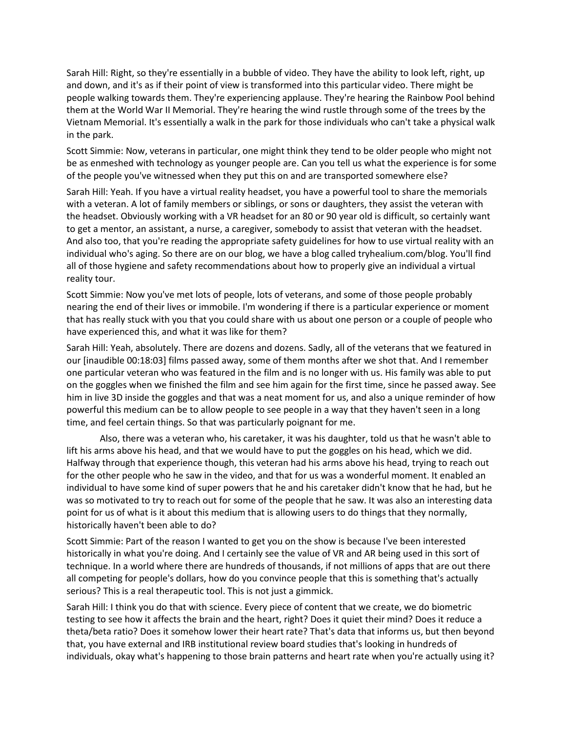them at the World War II Memorial. They're hearing the wind rustle through some of the trees by the Sarah Hill: Right, so they're essentially in a bubble of video. They have the ability to look left, right, up and down, and it's as if their point of view is transformed into this particular video. There might be people walking towards them. They're experiencing applause. They're hearing the Rainbow Pool behind Vietnam Memorial. It's essentially a walk in the park for those individuals who can't take a physical walk in the park.

Scott Simmie: Now, veterans in particular, one might think they tend to be older people who might not be as enmeshed with technology as younger people are. Can you tell us what the experience is for some of the people you've witnessed when they put this on and are transported somewhere else?

 to get a mentor, an assistant, a nurse, a caregiver, somebody to assist that veteran with the headset. Sarah Hill: Yeah. If you have a virtual reality headset, you have a powerful tool to share the memorials with a veteran. A lot of family members or siblings, or sons or daughters, they assist the veteran with the headset. Obviously working with a VR headset for an 80 or 90 year old is difficult, so certainly want And also too, that you're reading the appropriate safety guidelines for how to use virtual reality with an individual who's aging. So there are on our blog, we have a blog called [tryhealium.com/blog.](https://tryhealium.com/blog) You'll find all of those hygiene and safety recommendations about how to properly give an individual a virtual reality tour.

Scott Simmie: Now you've met lots of people, lots of veterans, and some of those people probably nearing the end of their lives or immobile. I'm wondering if there is a particular experience or moment that has really stuck with you that you could share with us about one person or a couple of people who have experienced this, and what it was like for them?

Sarah Hill: Yeah, absolutely. There are dozens and dozens. Sadly, all of the veterans that we featured in our [inaudible 00:18:03] films passed away, some of them months after we shot that. And I remember one particular veteran who was featured in the film and is no longer with us. His family was able to put on the goggles when we finished the film and see him again for the first time, since he passed away. See him in live 3D inside the goggles and that was a neat moment for us, and also a unique reminder of how powerful this medium can be to allow people to see people in a way that they haven't seen in a long time, and feel certain things. So that was particularly poignant for me.

 was so motivated to try to reach out for some of the people that he saw. It was also an interesting data Also, there was a veteran who, his caretaker, it was his daughter, told us that he wasn't able to lift his arms above his head, and that we would have to put the goggles on his head, which we did. Halfway through that experience though, this veteran had his arms above his head, trying to reach out for the other people who he saw in the video, and that for us was a wonderful moment. It enabled an individual to have some kind of super powers that he and his caretaker didn't know that he had, but he point for us of what is it about this medium that is allowing users to do things that they normally, historically haven't been able to do?

Scott Simmie: Part of the reason I wanted to get you on the show is because I've been interested historically in what you're doing. And I certainly see the value of VR and AR being used in this sort of technique. In a world where there are hundreds of thousands, if not millions of apps that are out there all competing for people's dollars, how do you convince people that this is something that's actually serious? This is a real therapeutic tool. This is not just a gimmick.

Sarah Hill: I think you do that with science. Every piece of content that we create, we do biometric testing to see how it affects the brain and the heart, right? Does it quiet their mind? Does it reduce a theta/beta ratio? Does it somehow lower their heart rate? That's data that informs us, but then beyond that, you have external and IRB institutional review board studies that's looking in hundreds of individuals, okay what's happening to those brain patterns and heart rate when you're actually using it?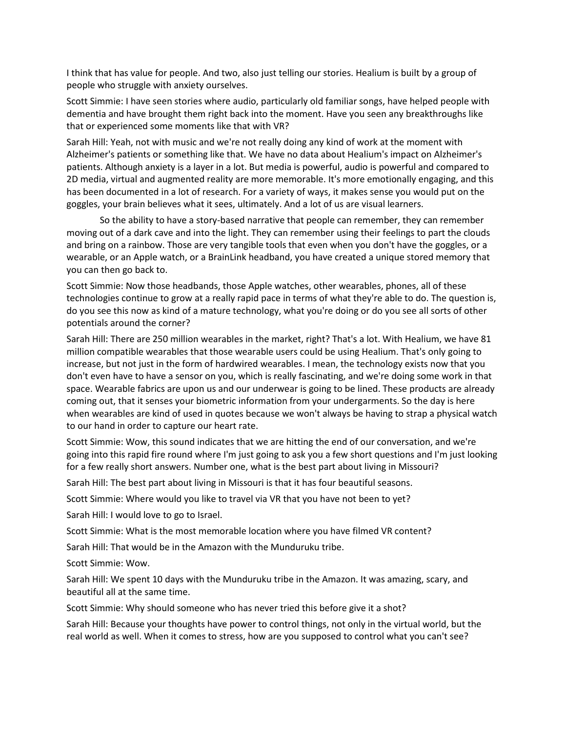I think that has value for people. And two, also just telling our stories. Healium is built by a group of people who struggle with anxiety ourselves.

Scott Simmie: I have seen stories where audio, particularly old familiar songs, have helped people with dementia and have brought them right back into the moment. Have you seen any breakthroughs like that or experienced some moments like that with VR?

 patients. Although anxiety is a layer in a lot. But media is powerful, audio is powerful and compared to Sarah Hill: Yeah, not with music and we're not really doing any kind of work at the moment with Alzheimer's patients or something like that. We have no data about Healium's impact on Alzheimer's 2D media, virtual and augmented reality are more memorable. It's more emotionally engaging, and this has been documented in a lot of research. For a variety of ways, it makes sense you would put on the goggles, your brain believes what it sees, ultimately. And a lot of us are visual learners.

So the ability to have a story-based narrative that people can remember, they can remember moving out of a dark cave and into the light. They can remember using their feelings to part the clouds and bring on a rainbow. Those are very tangible tools that even when you don't have the goggles, or a wearable, or an Apple watch, or a BrainLink headband, you have created a unique stored memory that you can then go back to.

 Scott Simmie: Now those headbands, those Apple watches, other wearables, phones, all of these do you see this now as kind of a mature technology, what you're doing or do you see all sorts of other technologies continue to grow at a really rapid pace in terms of what they're able to do. The question is, potentials around the corner?

 million compatible wearables that those wearable users could be using Healium. That's only going to increase, but not just in the form of hardwired wearables. I mean, the technology exists now that you Sarah Hill: There are 250 million wearables in the market, right? That's a lot. With Healium, we have 81 don't even have to have a sensor on you, which is really fascinating, and we're doing some work in that space. Wearable fabrics are upon us and our underwear is going to be lined. These products are already coming out, that it senses your biometric information from your undergarments. So the day is here when wearables are kind of used in quotes because we won't always be having to strap a physical watch to our hand in order to capture our heart rate.

Scott Simmie: Wow, this sound indicates that we are hitting the end of our conversation, and we're going into this rapid fire round where I'm just going to ask you a few short questions and I'm just looking for a few really short answers. Number one, what is the best part about living in Missouri?

Sarah Hill: The best part about living in Missouri is that it has four beautiful seasons.

Scott Simmie: Where would you like to travel via VR that you have not been to yet?

Sarah Hill: I would love to go to Israel.

Scott Simmie: What is the most memorable location where you have filmed VR content?

Sarah Hill: That would be in the Amazon with the Munduruku tribe.

Scott Simmie: Wow.

Sarah Hill: We spent 10 days with the Munduruku tribe in the Amazon. It was amazing, scary, and beautiful all at the same time.

Scott Simmie: Why should someone who has never tried this before give it a shot?

Sarah Hill: Because your thoughts have power to control things, not only in the virtual world, but the real world as well. When it comes to stress, how are you supposed to control what you can't see?